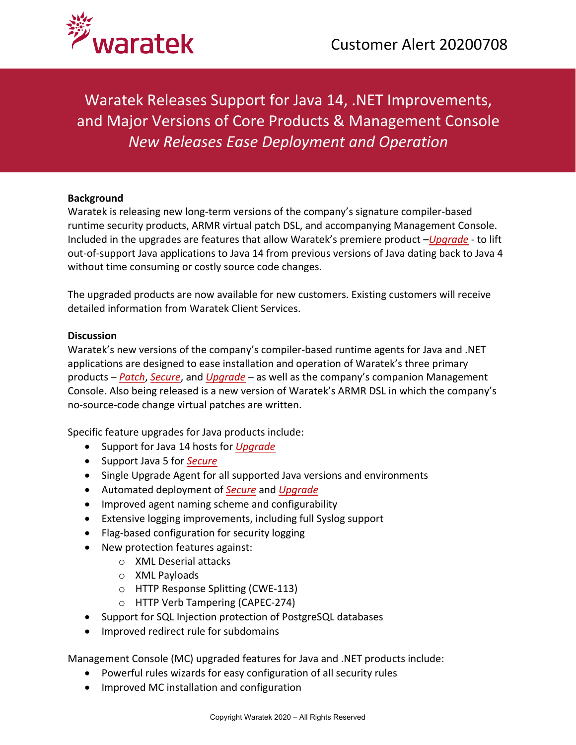

Waratek Releases Support for Java 14, .NET Improvements, and Major Versions of Core Products & Management Console *New Releases Ease Deployment and Operation*

## **Background**

Waratek is releasing new long-term versions of the company's signature compiler-based runtime security products, ARMR virtual patch DSL, and accompanying Management Console. Included in the upgrades are features that allow Waratek's premiere product –*[Upgrade](https://www.waratek.com/legacy-platform/)* - to lift out-of-support Java applications to Java 14 from previous versions of Java dating back to Java 4 without time consuming or costly source code changes.

The upgraded products are now available for new customers. Existing customers will receive detailed information from Waratek Client Services.

## **Discussion**

Waratek's new versions of the company's compiler-based runtime agents for Java and .NET applications are designed to ease installation and operation of Waratek's three primary products – *[Patch](https://www.waratek.com/virtual-patching/)*, *[Secure](https://www.waratek.com/runtime-application-self-protection-rasp/)*, and *[Upgrade](https://www.waratek.com/legacy-platform/)* – as well as the company's companion Management Console. Also being released is a new version of Waratek's ARMR DSL in which the company's no-source-code change virtual patches are written.

Specific feature upgrades for Java products include:

- Support for Java 14 hosts for *[Upgrade](https://www.waratek.com/legacy-platform/)*
- Support Java 5 for *[Secure](https://www.waratek.com/runtime-application-self-protection-rasp/)*
- Single Upgrade Agent for all supported Java versions and environments
- Automated deployment of *[Secure](https://www.waratek.com/runtime-application-self-protection-rasp/)* and *[Upgrade](https://www.waratek.com/legacy-platform/)*
- Improved agent naming scheme and configurability
- Extensive logging improvements, including full Syslog support
- Flag-based configuration for security logging
- New protection features against:
	- o XML Deserial attacks
	- o XML Payloads
	- o HTTP Response Splitting (CWE-113)
	- o HTTP Verb Tampering (CAPEC-274)
- Support for SQL Injection protection of PostgreSQL databases
- Improved redirect rule for subdomains

Management Console (MC) upgraded features for Java and .NET products include:

- Powerful rules wizards for easy configuration of all security rules
- Improved MC installation and configuration